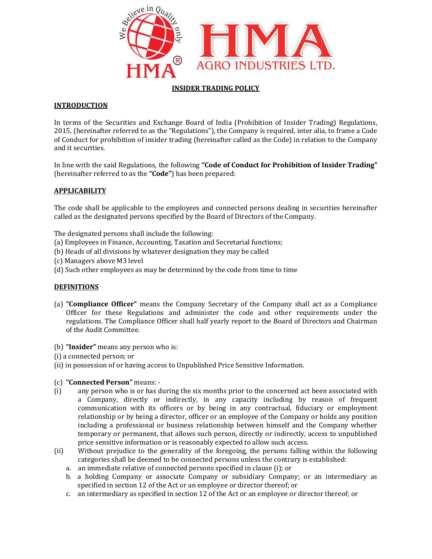

## INSIDER TRADING POLICY

# **INTRODUCTION**

In terms of the Securities and Exchange Board of India (Prohibition of Insider Trading) Regulations, 2015, (hereinafter referred to as the "Regulations"), the Company is required, inter alia, to frame a Code In terms of the Securities and Exchange Board of India (Prohibition of Insider Trading) Regulations,<br>2015, (hereinafter referred to as the "Regulations"), the Company is required, inter alia, to frame a Code<br>of Conduct for and it securities.

In line with the said Regulations, the following **"Code of Conduct for Prohibition of Insider Trading"** (hereinafter referred to as the "**Code**") has been prepared:

## **APPLICABILITY**

The code shall be applicable to the employees and connected persons dealing in securities hereinafter called as the designated persons specified by the Board of Directors of the Company.

The designated persons shall include the following:

- (a) Employees in Finance, Accounting, Taxation and Secretarial functions;
- (b) Heads of all divisions by whatever designation they may be called
- (c) Managers above M3 level
- (d) Such other employees as may be determined by the code from time to time

## **DEFINITIONS**

- (a) "Compliance Officer" means the Company Secretary of the Company shall act as a Compliance Officer for these Regulations and administer the code and other requirements under the regulations. The Compliance Officer shall half yearly report to the Board of Directors and Chairman of the Audit Committee. all be applicable to the employees and connected persons dealing in securities hereinafter<br>designated persons specified by the Board of Directors of the Company.<br>ted persons shall include the following:<br>es in Finance, Acco
- (b) "Insider" means any person who is:
- (i) a connected person; or
- (ii) in possession of or having access to Unpublished Price Sensitive Information.
- (c) "Connected Person" means: -
- (i) any person who is or has during the six months prior to the concerned act been associated with a Company, directly or indirectly, in any capacity including by reason of frequent communication with its officers or by being in any contractual, fiduciary or employment relationship or by being a director, officer or an employee of the Company or holds any position including a professional or business relationship between himself and the Company whether temporary or permanent, that allows such person, directly or indirectly, access to u price sensitive information or is reasonably expected to allow such access. **ider"** means any person who is:<br>
inected person; or<br>
ossession of or having access to Unpublished Price Sensitive Information.<br> **nnected Person"** means: -<br>
any person who is or has during the six months prior to the conce iement of the Securities and Exchange Board of funda (Probabition of itsident Trading) Regulations, the Company is required, interative or Act terms the Company alits exchange Company is required, interative or Exchange II a Company, directly or indirectly, in any capacity including by reason of frequent<br>communication with its officers or by being in any contractual, fiduciary or employment<br>relationship or by being a director, officer or an
- (ii) Without prejudice to the generality of the foregoing, the persons falling within the following categories shall be deemed to be connected persons unless the contrary is established:
	- a. an immediate relative of connected persons specified in clause (i); or
	- b. a holding Company or associate Company or subsidiary Company; or an intermediary as specified in section 12 of the Act or an employee or director thereof; or Without prejudice to the generality of the foregoing, the persons falling categories shall be deemed to be connected persons unless the contrary is an immediate relative of connected persons specified in clause (i); or a h
	- c. an intermediary as specified in section 12 of the Act or an employee or director thereof; or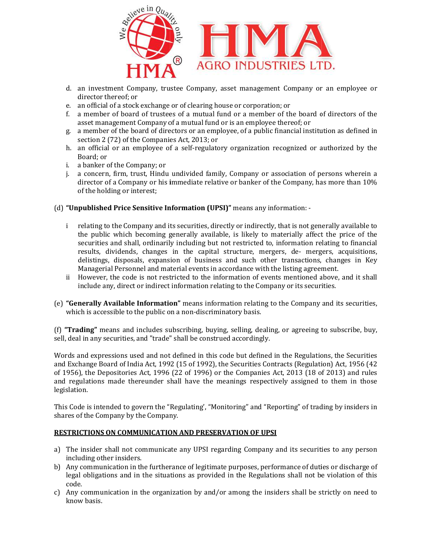

- d. an investment Company, trustee Company, asset management Company or an employee or director thereof; or e. an official of a stock exchange or of clearing house or corporation; or director thereof; or
- e. an official of a stock exchange or of clearing house or corpo
- f. a member of board of trustees of a mutual fund or a member of the board of directors of the asset management Company of a mutual fund or is an employee thereof; or asset management Company of a mutual fund or is an employee thereof; or
- g. a member of the board of directors or an employee, of a public financial institution as defined in section 2 (72) of the Companies Act, 2013; or
- section 2 (72) of the Companies Act, 2013; or<br>h. an official or an employee of a self-regulatory organization recognized or authorized by the Board; or
- i. a banker of the Company; or
- j. a concern, firm, trust, Hindu undivided family, Company or association of persons wherein a director of a Company or his immediate relative or banker of the Company, has more than 10%<br>of the holding or interest;<br>**published Price Sensitive Information (UPSI)"** means any information: of the holding or interest; an investment Company, trustee Company, asset management Company or an employee or<br>director thereof; or<br>an official of a stock exchange or of clearing house or corporation; or<br>a member of board of trustees of a mutual fund

(d) "Unpublished Price Sensitive Information (UPSI)"

- i relating to the Company and its securities, directly or indirectly, that is not generally available to the public which becoming generally available, is likely to materially affect the price of the securities and shall, ordinarily including but not restricted to, information re results, dividends, changes in the capital structure, mergers, de- mergers, acquisitions, delistings, disposals, expansion of business and such other transactions, changes in Key<br>Managerial Personnel and material events in accordance with the listing agreement. Managerial Personnel and material events in accordance with the listing agreement. the Company and its securities, directly or indirectly, that is not generally available to<br>which becoming generally available, is likely to materially affect the price of the<br>and shall, ordinarily including but not restric
- ii However, the code is not restricted to the information of events mentioned above, and it shall include any, direct or indirect information relating to the Company or its securities.
- include any, direct or indirect information relating to the Company or its securities.<br>(e) **"Generally Available Information"** means information relating to the Company and its securities, which is accessible to the public on a non-discriminatory basis.

(f) "Trading" means and includes subscribing, buying, selling, dealing, or agreeing to subscribe, buy, sell, deal in any securities, and "trade" shall be construed accordingly.

Words and expressions used and not defined in this code but defined in the Regulations, the Securities and Exchange Board of India Act, 1992 (15 of 1992), the Securities Contracts (Regulation) Act, 1956 (42 (f) **"Trading"** means and includes subscribing, buying, selling, dealing, or agreeing to subscribe, buy, sell, deal in any securities, and "trade" shall be construed accordingly.<br>Words and expressions used and not defined and regulations made thereunder shall have the meanings respectively assigned to them in those legislation. delistings, disposals, expansion of business and such other transactions, changes in Key<br>
Managerial Personnel and material events in accordance with the listing agreement.<br>
ii However, the code is not restricted to the in

This Code is intended to govern the "Regulating', "Monitoring" and "Reporting" of trading by insiders in shares of the Company by the Company.

## <u>RESTRICTIONS ON COMMUNICATION AND PRESERVATION OF UPSI</u>

- a) The insider shall not communicate any UPSI regarding Company and its securities to any person including other insiders.
- b) Any communication in the furtherance of legitimate purposes, performance of duties or discharge of legal obligations and in the situations as provided in the Regulations shall not be violation of this code. b) Any communication in the furtherance of legitimate purposes, performance of duties or discharge of legal obligations and in the situations as provided in the Regulations shall not be violation of this code.<br>c) Any commu insider shall not communicate any UPSI regarding Company and its securities to any person<br>ding other insiders.<br>communication in the furtherance of legitimate purposes, performance of duties or discharge of<br>obligations and
- know basis.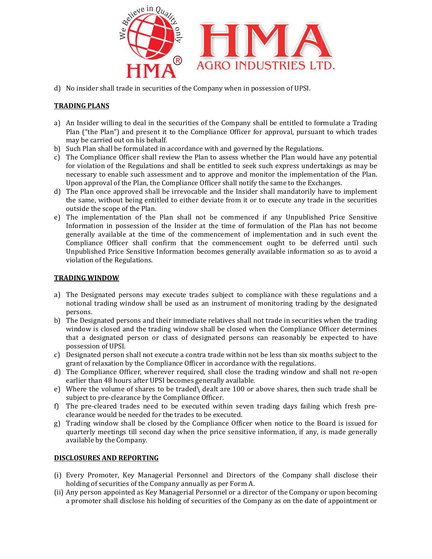

d) No insider shall trade in securities of the Company when in possession of UPSI.

## TRADING PLANS

- a) An Insider willing to deal in the securities of the Company shall be entitled to formulate a Trading Plan ("the Plan") and present it to the Compliance Officer for approval, pursuant to which trades may be carried out on his behalf. Plan ("the Plan") and present it to the Compliance Officer for approval, pursuant to which trades<br>may be carried out on his behalf.<br>b) Such Plan shall be formulated in accordance with and governed by the Regulations.<br>c) Th
- b) Such Plan shall be formulated in accordance with and governed by the Regulations.
- for violation of the Regulations and shall be entitled to seek such express undertakings as may be necessary to enable such assessment and to approve and monitor the implementation of the Plan. Upon approval of the Plan, the Compliance Officer shall notify the same to the Exchanges.
- d) The Plan once approved shall be irrevocable and the Insider shall mandatorily have to implement the same, without being entitled to either deviate from it or to execute any trade in the securit outside the scope of the Plan. iolation of the Regulations and shall be entitled to seek such express undertakings as may be ssary to enable such assessment and to approve and monitor the implementation of the Plan.<br>1 approval of the Plan, the Complianc
- e) The implementation of the Plan shall not be commenced if any Unpublished Price Sensitive Information in possession of the Insider at the time of formulation of the Plan has not become generally available at the time of the commencement of implementation and in such event the Compliance Officer shall confirm that the commencement ought to be deferred until such Unpublished Price Sensitive Information becomes generally available information so as to avoid a violation of the Regulations. An inside to willing to deal in the securities of the Company shall be estitled to formulate a Trading to the the securities of the compliance of the compliance of the compliance of the operator of the compliance of the c The implementation of the Plan shall not be commenced if any Unpublished Price Sensitive<br>penerally available at the time of the Insider at the time of formulation of the Plan has not become<br>generally available at the time

#### TRADING WINDOW

- a) The Designated persons may execute trades subject to compliance with these regulations and a notional trading window shall be used as an instrument of monitoring trading by the designated persons. bliance Officer shall confirm that the commencement ought to be deferred until such<br>blished Price Sensitive Information becomes generally available information so as to avoid a<br>tion of the Regulations.<br>**GWINDOW**<br>Designated
- b) The Designated persons and their immediate relatives shall not trade in securities when the trading window is closed and the trading window shall be closed when the Compliance Officer determines that a designated person or class of designated persons can reasonably be expected to have possession of UPSI.
- c) Designated person shall not execute a contra trade within not be less than six months subject to the grant of relaxation by the Compliance Officer in accordance with the regulations.
- d) The Compliance Officer, wherever required, shall close the trading window and shall not re-open earlier than 48 hours after UPSI becomes generally available. e) Designated person shall not execute a contra trade within not be less than six months subject to the grant of relaxation by the Compliance Officer in accordance with the regulations.<br>
d) The Compliance Officer, wherever
- subject to pre-clearance by the Compliance Officer.
- f) The pre-cleared trades need to be executed within seven trading days failing which fresh preclearance would be needed for the trades to be executed. subject to pre-clearance by the Compliance Officer.<br>
f) The pre-cleared trades need to be executed within seven trading days failing which fresh pre-<br>
clearance would be needed for the trades to be executed.<br>
g) Trading wi
- quarterly meetings till second day when the price sensitive information, if any, is made generally available by the Company. Trading window shall be closed by the Compliance Officer when notice to the Board is issued for<br>quarterly meetings till second day when the price sensitive information, if any, is made generally

# DISCLOSURES AND REPORTING

- (i) Every Promoter, Key Managerial Personnel and Directors of the Company shall disclose their holding of securities of the Company annually as per Form A.
- (ii) Any person appointed as Key Managerial Personnel or a director of the Company or upon becoming Any person appointed as Key Managerial Personnel or a director of the Company or upon becoming<br>a promoter shall disclose his holding of securities of the Company as on the date of appointment or